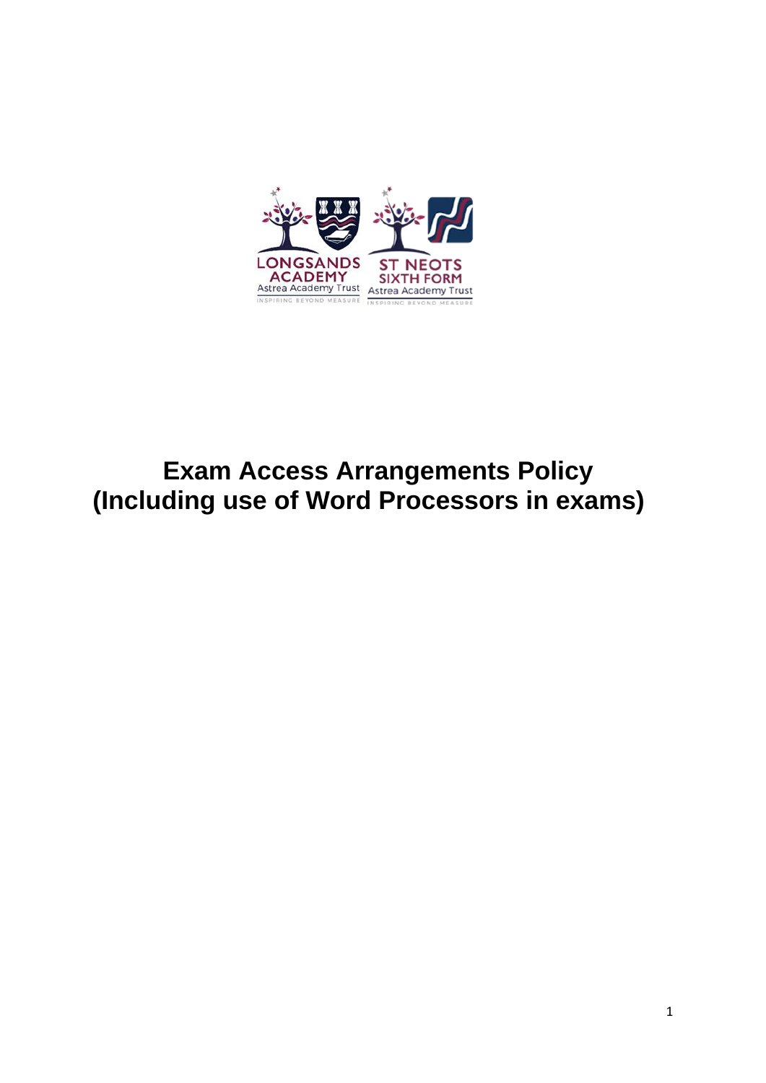

# **Exam Access Arrangements Policy (Including use of Word Processors in exams)**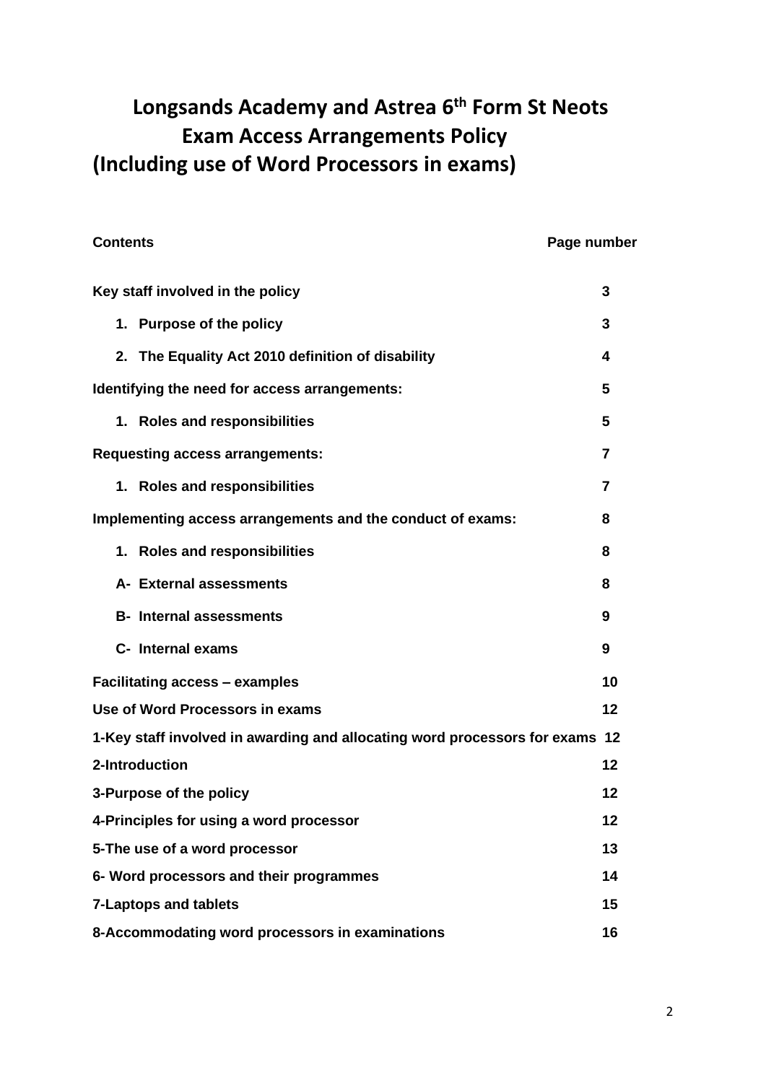# **Longsands Academy and Astrea 6th Form St Neots Exam Access Arrangements Policy (Including use of Word Processors in exams)**

#### **Contents Contents Page number**

| Key staff involved in the policy                                             | 3  |  |  |
|------------------------------------------------------------------------------|----|--|--|
| 1. Purpose of the policy                                                     | 3. |  |  |
| 2. The Equality Act 2010 definition of disability                            | 4  |  |  |
| Identifying the need for access arrangements:                                | 5  |  |  |
| 1. Roles and responsibilities                                                | 5  |  |  |
| <b>Requesting access arrangements:</b>                                       | 7  |  |  |
| 1. Roles and responsibilities                                                | 7  |  |  |
| Implementing access arrangements and the conduct of exams:                   | 8  |  |  |
| 1. Roles and responsibilities                                                | 8  |  |  |
| A- External assessments                                                      | 8  |  |  |
| <b>B-</b> Internal assessments                                               | 9  |  |  |
| C- Internal exams                                                            | 9  |  |  |
| <b>Facilitating access - examples</b>                                        | 10 |  |  |
| Use of Word Processors in exams                                              | 12 |  |  |
| 1-Key staff involved in awarding and allocating word processors for exams 12 |    |  |  |
| 2-Introduction                                                               | 12 |  |  |
| 3-Purpose of the policy                                                      | 12 |  |  |
| 4-Principles for using a word processor                                      | 12 |  |  |
| 5-The use of a word processor<br>13                                          |    |  |  |
| 14<br>6- Word processors and their programmes                                |    |  |  |
| <b>7-Laptops and tablets</b><br>15                                           |    |  |  |
| 8-Accommodating word processors in examinations<br>16                        |    |  |  |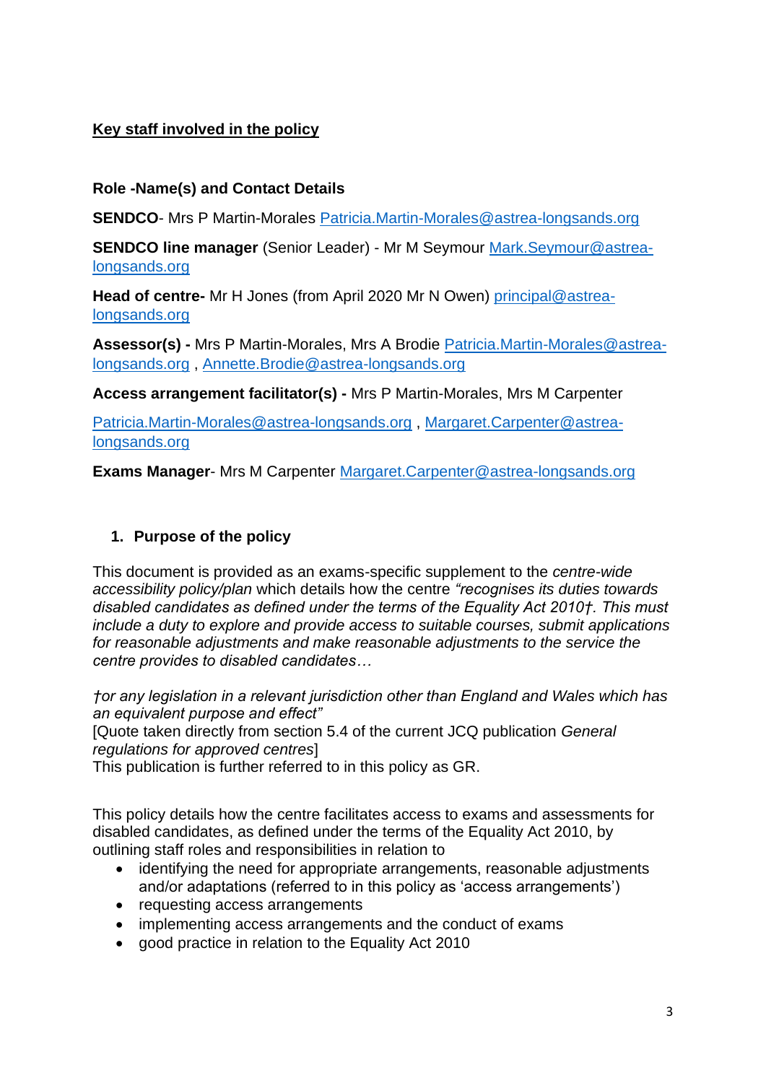# **Key staff involved in the policy**

## **Role -Name(s) and Contact Details**

**SENDCO**- Mrs P Martin-Morales **[Patricia.Martin-Morales@astrea-longsands.org](mailto:Patricia.Martin-Morales@astrea-longsands.org)** 

**SENDCO line manager** (Senior Leader) - Mr M Seymour [Mark.Seymour@astrea](mailto:Mark.Seymour@astrea-longsands.org)[longsands.org](mailto:Mark.Seymour@astrea-longsands.org)

**Head of centre-** Mr H Jones (from April 2020 Mr N Owen) [principal@astrea](mailto:principal@astrea-longsands.org)[longsands.org](mailto:principal@astrea-longsands.org)

**Assessor(s) -** Mrs P Martin-Morales, Mrs A Brodie [Patricia.Martin-Morales@astrea](mailto:Patricia.Martin-Morales@astrea-longsands.org)[longsands.org](mailto:Patricia.Martin-Morales@astrea-longsands.org) , [Annette.Brodie@astrea-longsands.org](mailto:Annette.Brodie@astrea-longsands.org)

**Access arrangement facilitator(s) -** Mrs P Martin-Morales, Mrs M Carpenter

[Patricia.Martin-Morales@astrea-longsands.org](mailto:Patricia.Martin-Morales@astrea-longsands.org) , [Margaret.Carpenter@astrea](mailto:Margaret.Carpenter@astrea-longsands.org)[longsands.org](mailto:Margaret.Carpenter@astrea-longsands.org)

**Exams Manager**- Mrs M Carpenter [Margaret.Carpenter@astrea-longsands.org](mailto:Margaret.Carpenter@astrea-longsands.org)

# **1. Purpose of the policy**

This document is provided as an exams-specific supplement to the *centre-wide accessibility policy/plan* which details how the centre *"recognises its duties towards disabled candidates as defined under the terms of the Equality Act 2010†. This must include a duty to explore and provide access to suitable courses, submit applications for reasonable adjustments and make reasonable adjustments to the service the centre provides to disabled candidates…* 

*†or any legislation in a relevant jurisdiction other than England and Wales which has an equivalent purpose and effect"* 

[Quote taken directly from section 5.4 of the current JCQ publication *General regulations for approved centres*]

This publication is further referred to in this policy as GR.

This policy details how the centre facilitates access to exams and assessments for disabled candidates, as defined under the terms of the Equality Act 2010, by outlining staff roles and responsibilities in relation to

- identifying the need for appropriate arrangements, reasonable adjustments and/or adaptations (referred to in this policy as 'access arrangements')
- requesting access arrangements
- implementing access arrangements and the conduct of exams
- good practice in relation to the Equality Act 2010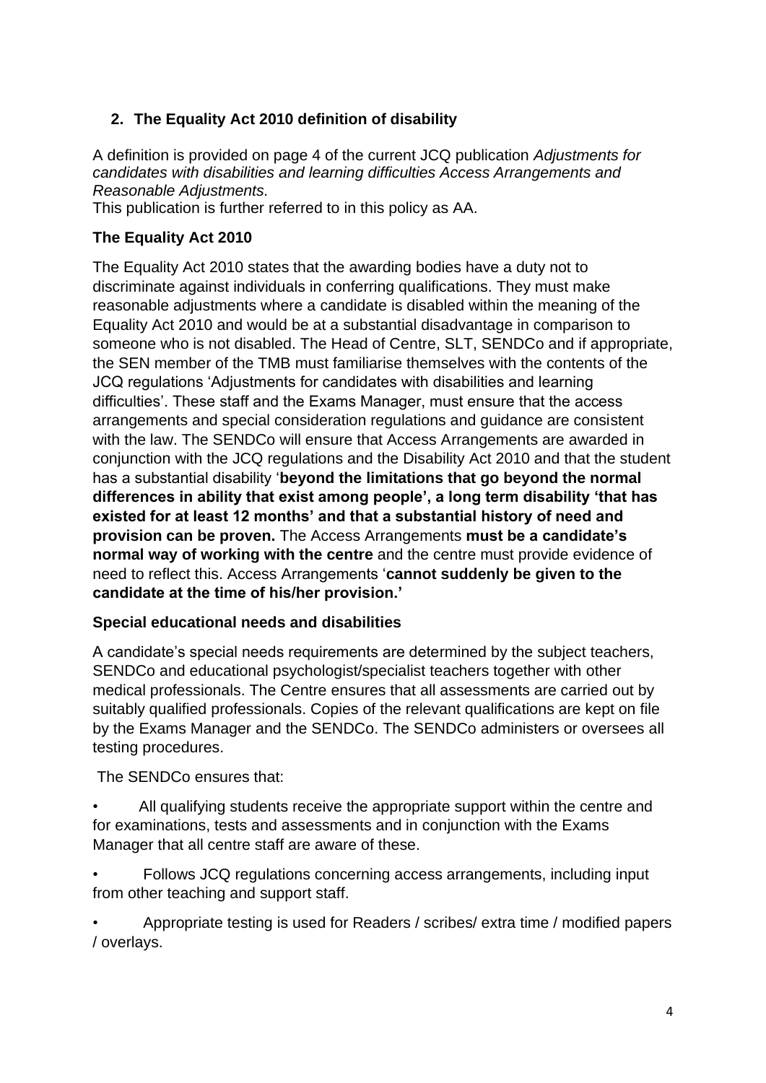# **2. The Equality Act 2010 definition of disability**

A definition is provided on page 4 of the current JCQ publication *Adjustments for candidates with disabilities and learning difficulties Access Arrangements and Reasonable Adjustments.*

This publication is further referred to in this policy as AA.

# **The Equality Act 2010**

The Equality Act 2010 states that the awarding bodies have a duty not to discriminate against individuals in conferring qualifications. They must make reasonable adjustments where a candidate is disabled within the meaning of the Equality Act 2010 and would be at a substantial disadvantage in comparison to someone who is not disabled. The Head of Centre, SLT, SENDCo and if appropriate, the SEN member of the TMB must familiarise themselves with the contents of the JCQ regulations 'Adjustments for candidates with disabilities and learning difficulties'. These staff and the Exams Manager, must ensure that the access arrangements and special consideration regulations and guidance are consistent with the law. The SENDCo will ensure that Access Arrangements are awarded in conjunction with the JCQ regulations and the Disability Act 2010 and that the student has a substantial disability '**beyond the limitations that go beyond the normal differences in ability that exist among people', a long term disability 'that has existed for at least 12 months' and that a substantial history of need and provision can be proven.** The Access Arrangements **must be a candidate's normal way of working with the centre** and the centre must provide evidence of need to reflect this. Access Arrangements '**cannot suddenly be given to the candidate at the time of his/her provision.'** 

### **Special educational needs and disabilities**

A candidate's special needs requirements are determined by the subject teachers, SENDCo and educational psychologist/specialist teachers together with other medical professionals. The Centre ensures that all assessments are carried out by suitably qualified professionals. Copies of the relevant qualifications are kept on file by the Exams Manager and the SENDCo. The SENDCo administers or oversees all testing procedures.

The SENDCo ensures that:

- All qualifying students receive the appropriate support within the centre and for examinations, tests and assessments and in conjunction with the Exams Manager that all centre staff are aware of these.
- Follows JCQ regulations concerning access arrangements, including input from other teaching and support staff.
- Appropriate testing is used for Readers / scribes/ extra time / modified papers / overlays.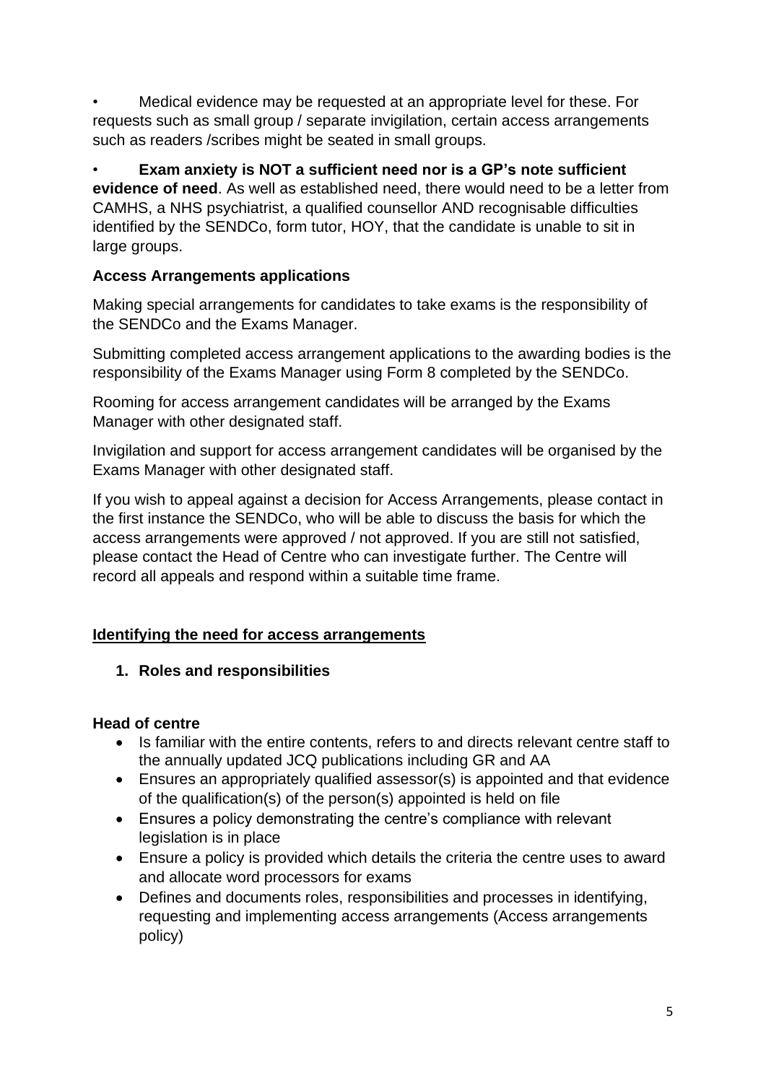• Medical evidence may be requested at an appropriate level for these. For requests such as small group / separate invigilation, certain access arrangements such as readers /scribes might be seated in small groups.

• **Exam anxiety is NOT a sufficient need nor is a GP's note sufficient evidence of need**. As well as established need, there would need to be a letter from CAMHS, a NHS psychiatrist, a qualified counsellor AND recognisable difficulties identified by the SENDCo, form tutor, HOY, that the candidate is unable to sit in large groups.

# **Access Arrangements applications**

Making special arrangements for candidates to take exams is the responsibility of the SENDCo and the Exams Manager.

Submitting completed access arrangement applications to the awarding bodies is the responsibility of the Exams Manager using Form 8 completed by the SENDCo.

Rooming for access arrangement candidates will be arranged by the Exams Manager with other designated staff.

Invigilation and support for access arrangement candidates will be organised by the Exams Manager with other designated staff.

If you wish to appeal against a decision for Access Arrangements, please contact in the first instance the SENDCo, who will be able to discuss the basis for which the access arrangements were approved / not approved. If you are still not satisfied, please contact the Head of Centre who can investigate further. The Centre will record all appeals and respond within a suitable time frame.

# **Identifying the need for access arrangements**

### **1. Roles and responsibilities**

### **Head of centre**

- Is familiar with the entire contents, refers to and directs relevant centre staff to the annually updated JCQ publications including GR and AA
- Ensures an appropriately qualified assessor(s) is appointed and that evidence of the qualification(s) of the person(s) appointed is held on file
- Ensures a policy demonstrating the centre's compliance with relevant legislation is in place
- Ensure a policy is provided which details the criteria the centre uses to award and allocate word processors for exams
- Defines and documents roles, responsibilities and processes in identifying, requesting and implementing access arrangements (Access arrangements policy)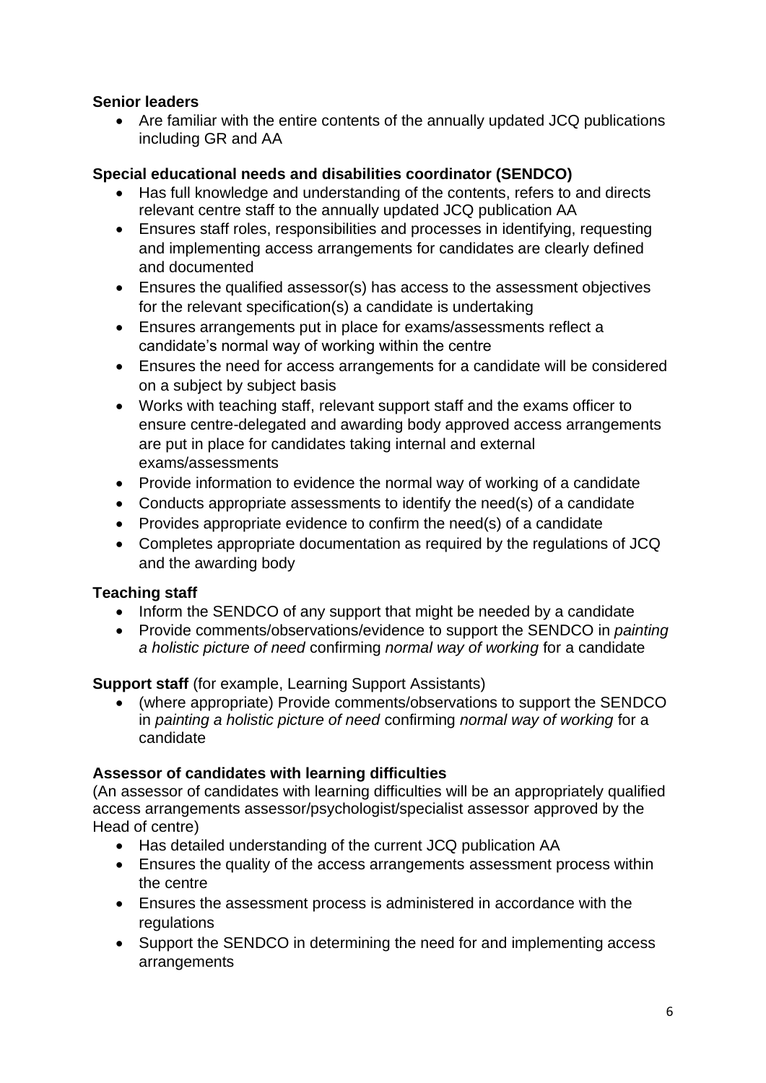## **Senior leaders**

• Are familiar with the entire contents of the annually updated JCQ publications including GR and AA

## **Special educational needs and disabilities coordinator (SENDCO)**

- Has full knowledge and understanding of the contents, refers to and directs relevant centre staff to the annually updated JCQ publication AA
- Ensures staff roles, responsibilities and processes in identifying, requesting and implementing access arrangements for candidates are clearly defined and documented
- Ensures the qualified assessor(s) has access to the assessment objectives for the relevant specification(s) a candidate is undertaking
- Ensures arrangements put in place for exams/assessments reflect a candidate's normal way of working within the centre
- Ensures the need for access arrangements for a candidate will be considered on a subject by subject basis
- Works with teaching staff, relevant support staff and the exams officer to ensure centre-delegated and awarding body approved access arrangements are put in place for candidates taking internal and external exams/assessments
- Provide information to evidence the normal way of working of a candidate
- Conducts appropriate assessments to identify the need(s) of a candidate
- Provides appropriate evidence to confirm the need(s) of a candidate
- Completes appropriate documentation as required by the regulations of JCQ and the awarding body

# **Teaching staff**

- Inform the SENDCO of any support that might be needed by a candidate
- Provide comments/observations/evidence to support the SENDCO in *painting a holistic picture of need* confirming *normal way of working* for a candidate

### **Support staff** (for example, Learning Support Assistants)

• (where appropriate) Provide comments/observations to support the SENDCO in *painting a holistic picture of need* confirming *normal way of working* for a candidate

# **Assessor of candidates with learning difficulties**

(An assessor of candidates with learning difficulties will be an appropriately qualified access arrangements assessor/psychologist/specialist assessor approved by the Head of centre)

- Has detailed understanding of the current JCQ publication AA
- Ensures the quality of the access arrangements assessment process within the centre
- Ensures the assessment process is administered in accordance with the regulations
- Support the SENDCO in determining the need for and implementing access arrangements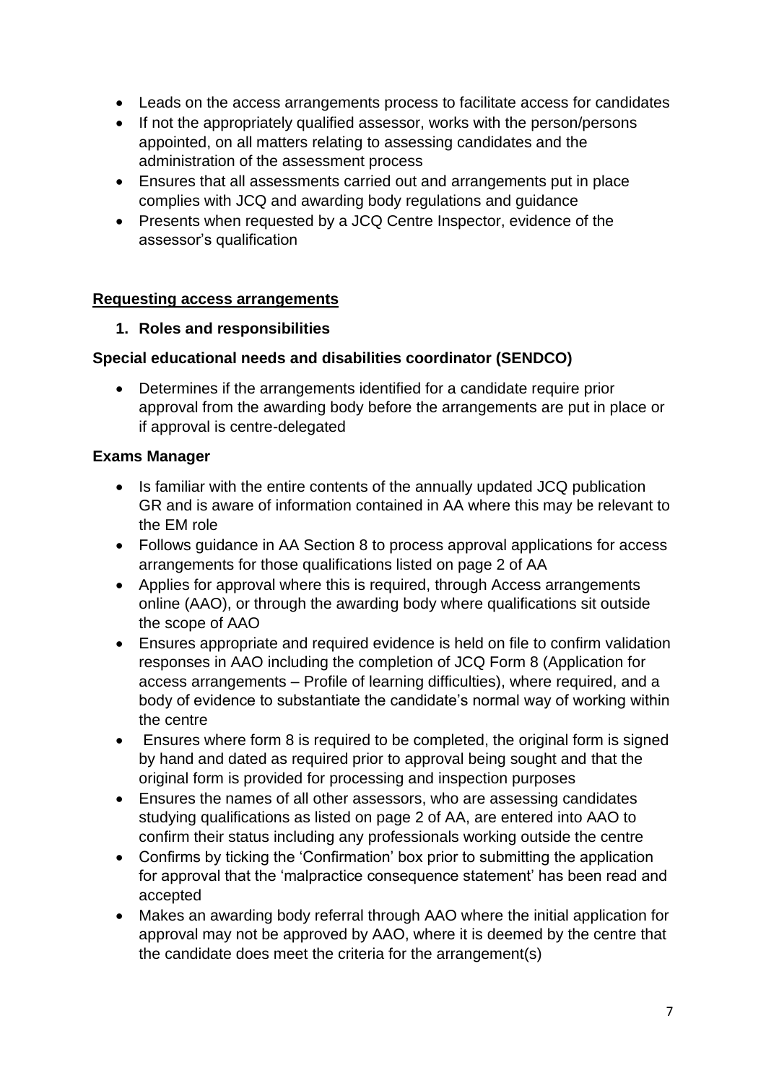- Leads on the access arrangements process to facilitate access for candidates
- If not the appropriately qualified assessor, works with the person/persons appointed, on all matters relating to assessing candidates and the administration of the assessment process
- Ensures that all assessments carried out and arrangements put in place complies with JCQ and awarding body regulations and guidance
- Presents when requested by a JCQ Centre Inspector, evidence of the assessor's qualification

### **Requesting access arrangements**

**1. Roles and responsibilities**

### **Special educational needs and disabilities coordinator (SENDCO)**

• Determines if the arrangements identified for a candidate require prior approval from the awarding body before the arrangements are put in place or if approval is centre-delegated

### **Exams Manager**

- Is familiar with the entire contents of the annually updated JCQ publication GR and is aware of information contained in AA where this may be relevant to the EM role
- Follows guidance in AA Section 8 to process approval applications for access arrangements for those qualifications listed on page 2 of AA
- Applies for approval where this is required, through Access arrangements online (AAO), or through the awarding body where qualifications sit outside the scope of AAO
- Ensures appropriate and required evidence is held on file to confirm validation responses in AAO including the completion of JCQ Form 8 (Application for access arrangements – Profile of learning difficulties), where required, and a body of evidence to substantiate the candidate's normal way of working within the centre
- Ensures where form 8 is required to be completed, the original form is signed by hand and dated as required prior to approval being sought and that the original form is provided for processing and inspection purposes
- Ensures the names of all other assessors, who are assessing candidates studying qualifications as listed on page 2 of AA, are entered into AAO to confirm their status including any professionals working outside the centre
- Confirms by ticking the 'Confirmation' box prior to submitting the application for approval that the 'malpractice consequence statement' has been read and accepted
- Makes an awarding body referral through AAO where the initial application for approval may not be approved by AAO, where it is deemed by the centre that the candidate does meet the criteria for the arrangement(s)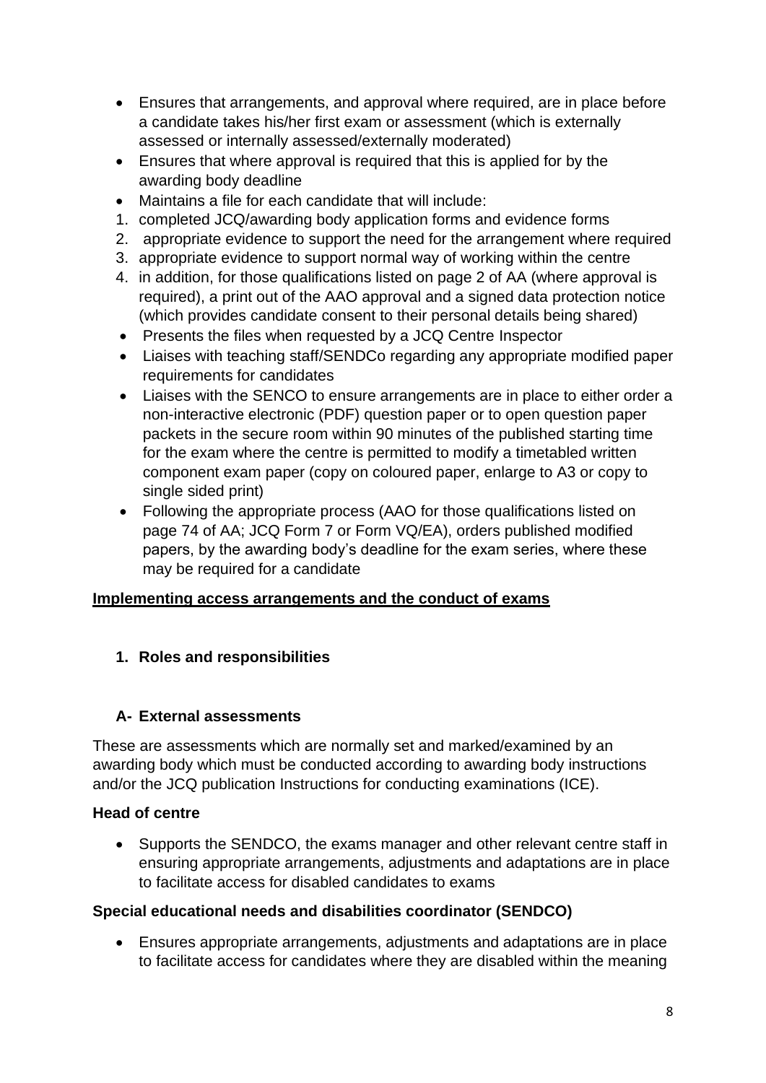- Ensures that arrangements, and approval where required, are in place before a candidate takes his/her first exam or assessment (which is externally assessed or internally assessed/externally moderated)
- Ensures that where approval is required that this is applied for by the awarding body deadline
- Maintains a file for each candidate that will include:
- 1. completed JCQ/awarding body application forms and evidence forms
- 2. appropriate evidence to support the need for the arrangement where required
- 3. appropriate evidence to support normal way of working within the centre
- 4. in addition, for those qualifications listed on page 2 of AA (where approval is required), a print out of the AAO approval and a signed data protection notice (which provides candidate consent to their personal details being shared)
- Presents the files when requested by a JCQ Centre Inspector
- Liaises with teaching staff/SENDCo regarding any appropriate modified paper requirements for candidates
- Liaises with the SENCO to ensure arrangements are in place to either order a non-interactive electronic (PDF) question paper or to open question paper packets in the secure room within 90 minutes of the published starting time for the exam where the centre is permitted to modify a timetabled written component exam paper (copy on coloured paper, enlarge to A3 or copy to single sided print)
- Following the appropriate process (AAO for those qualifications listed on page 74 of AA; JCQ Form 7 or Form VQ/EA), orders published modified papers, by the awarding body's deadline for the exam series, where these may be required for a candidate

### **Implementing access arrangements and the conduct of exams**

### **1. Roles and responsibilities**

### **A- External assessments**

These are assessments which are normally set and marked/examined by an awarding body which must be conducted according to awarding body instructions and/or the JCQ publication Instructions for conducting examinations (ICE).

### **Head of centre**

• Supports the SENDCO, the exams manager and other relevant centre staff in ensuring appropriate arrangements, adjustments and adaptations are in place to facilitate access for disabled candidates to exams

### **Special educational needs and disabilities coordinator (SENDCO)**

• Ensures appropriate arrangements, adjustments and adaptations are in place to facilitate access for candidates where they are disabled within the meaning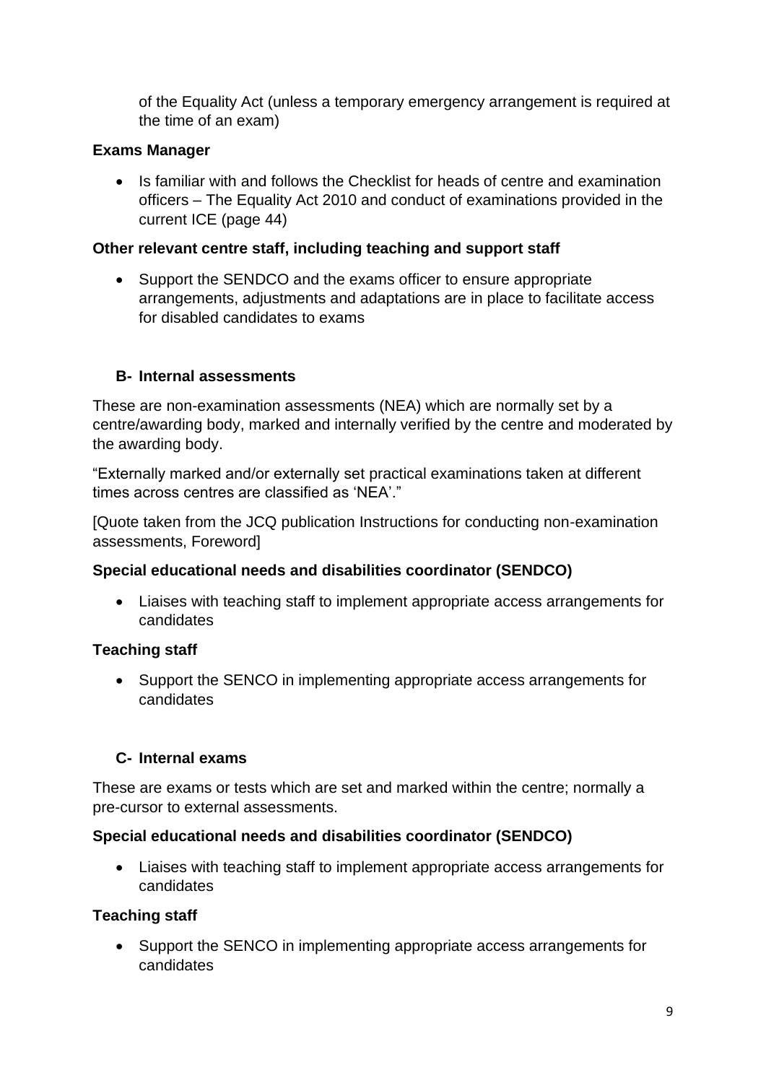of the Equality Act (unless a temporary emergency arrangement is required at the time of an exam)

## **Exams Manager**

• Is familiar with and follows the Checklist for heads of centre and examination officers – The Equality Act 2010 and conduct of examinations provided in the current ICE (page 44)

## **Other relevant centre staff, including teaching and support staff**

• Support the SENDCO and the exams officer to ensure appropriate arrangements, adjustments and adaptations are in place to facilitate access for disabled candidates to exams

## **B- Internal assessments**

These are non-examination assessments (NEA) which are normally set by a centre/awarding body, marked and internally verified by the centre and moderated by the awarding body.

"Externally marked and/or externally set practical examinations taken at different times across centres are classified as 'NEA'."

[Quote taken from the JCQ publication Instructions for conducting non-examination assessments, Foreword]

### **Special educational needs and disabilities coordinator (SENDCO)**

• Liaises with teaching staff to implement appropriate access arrangements for candidates

# **Teaching staff**

• Support the SENCO in implementing appropriate access arrangements for candidates

### **C- Internal exams**

These are exams or tests which are set and marked within the centre; normally a pre-cursor to external assessments.

### **Special educational needs and disabilities coordinator (SENDCO)**

• Liaises with teaching staff to implement appropriate access arrangements for candidates

### **Teaching staff**

• Support the SENCO in implementing appropriate access arrangements for candidates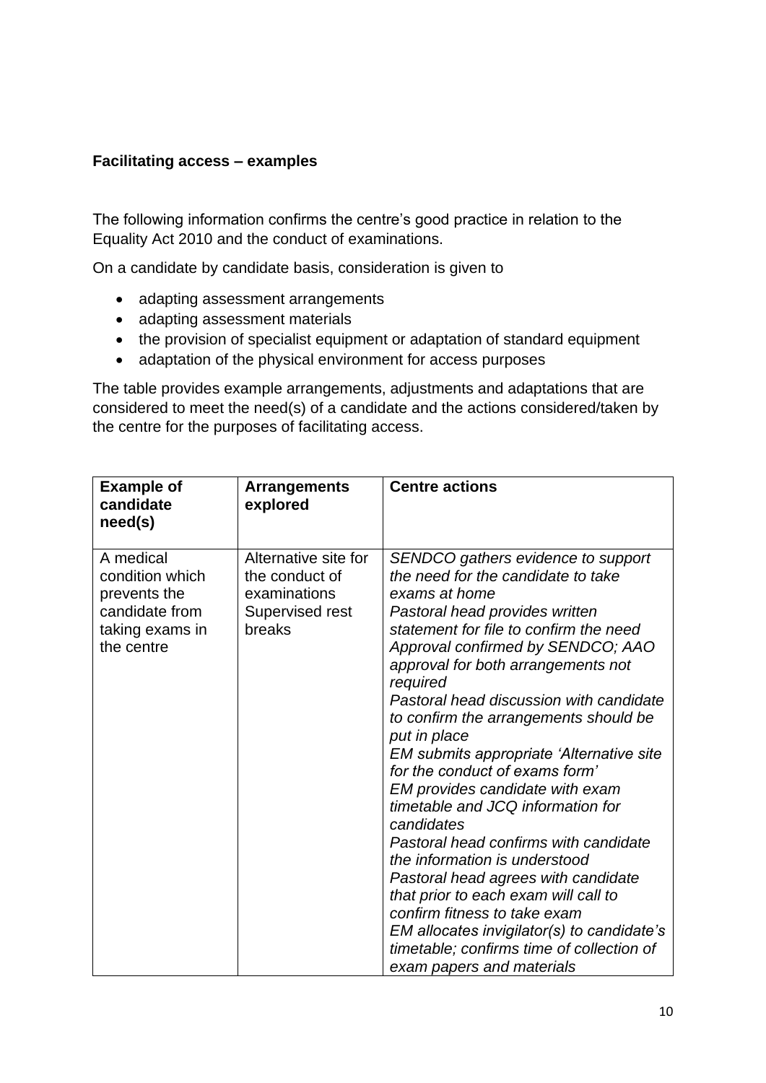#### **Facilitating access – examples**

The following information confirms the centre's good practice in relation to the Equality Act 2010 and the conduct of examinations.

On a candidate by candidate basis, consideration is given to

- adapting assessment arrangements
- adapting assessment materials
- the provision of specialist equipment or adaptation of standard equipment
- adaptation of the physical environment for access purposes

The table provides example arrangements, adjustments and adaptations that are considered to meet the need(s) of a candidate and the actions considered/taken by the centre for the purposes of facilitating access.

| <b>Example of</b><br>candidate<br>need(s)                                                       | <b>Arrangements</b><br>explored                                                     | <b>Centre actions</b>                                                                                                                                                                                                                                                                                                                                                                                                                                                                                                                                                                                                                                                                                                                                                                                                                                 |
|-------------------------------------------------------------------------------------------------|-------------------------------------------------------------------------------------|-------------------------------------------------------------------------------------------------------------------------------------------------------------------------------------------------------------------------------------------------------------------------------------------------------------------------------------------------------------------------------------------------------------------------------------------------------------------------------------------------------------------------------------------------------------------------------------------------------------------------------------------------------------------------------------------------------------------------------------------------------------------------------------------------------------------------------------------------------|
| A medical<br>condition which<br>prevents the<br>candidate from<br>taking exams in<br>the centre | Alternative site for<br>the conduct of<br>examinations<br>Supervised rest<br>breaks | SENDCO gathers evidence to support<br>the need for the candidate to take<br>exams at home<br>Pastoral head provides written<br>statement for file to confirm the need<br>Approval confirmed by SENDCO; AAO<br>approval for both arrangements not<br>required<br>Pastoral head discussion with candidate<br>to confirm the arrangements should be<br>put in place<br>EM submits appropriate 'Alternative site<br>for the conduct of exams form'<br>EM provides candidate with exam<br>timetable and JCQ information for<br>candidates<br>Pastoral head confirms with candidate<br>the information is understood<br>Pastoral head agrees with candidate<br>that prior to each exam will call to<br>confirm fitness to take exam<br>EM allocates invigilator(s) to candidate's<br>timetable; confirms time of collection of<br>exam papers and materials |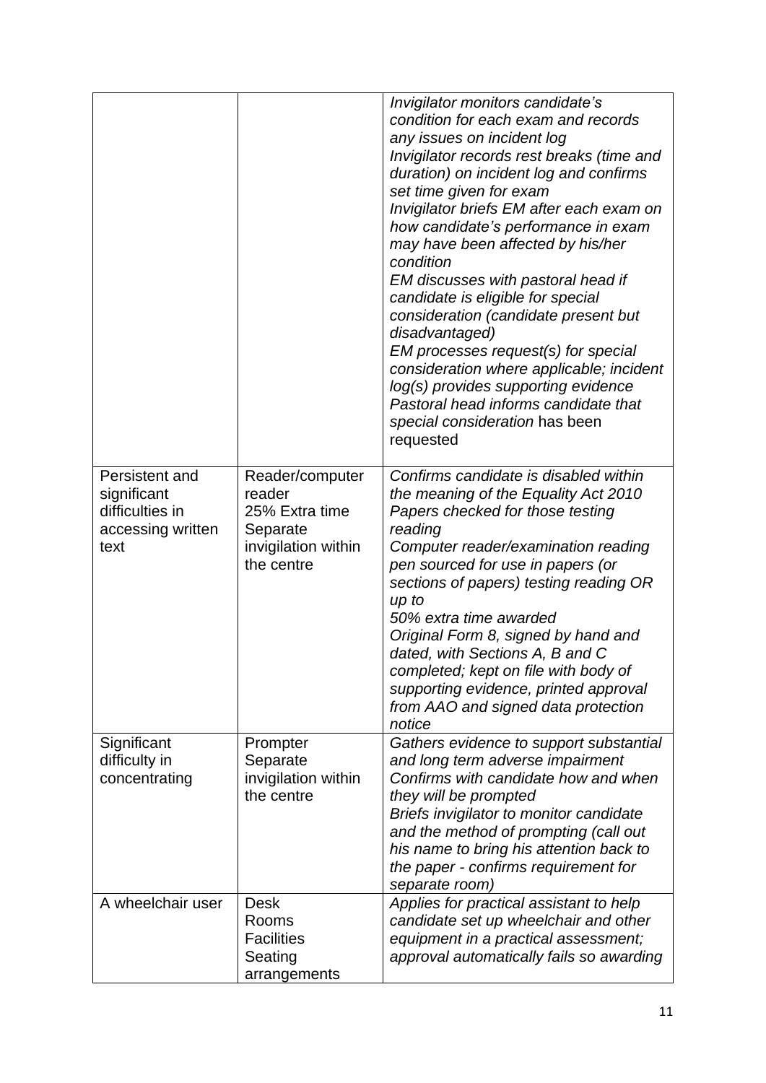|                                                                               |                                                                                              | Invigilator monitors candidate's<br>condition for each exam and records<br>any issues on incident log<br>Invigilator records rest breaks (time and<br>duration) on incident log and confirms<br>set time given for exam<br>Invigilator briefs EM after each exam on<br>how candidate's performance in exam<br>may have been affected by his/her<br>condition<br>EM discusses with pastoral head if<br>candidate is eligible for special<br>consideration (candidate present but<br>disadvantaged)<br>EM processes request(s) for special<br>consideration where applicable; incident<br>log(s) provides supporting evidence<br>Pastoral head informs candidate that<br>special consideration has been<br>requested |
|-------------------------------------------------------------------------------|----------------------------------------------------------------------------------------------|--------------------------------------------------------------------------------------------------------------------------------------------------------------------------------------------------------------------------------------------------------------------------------------------------------------------------------------------------------------------------------------------------------------------------------------------------------------------------------------------------------------------------------------------------------------------------------------------------------------------------------------------------------------------------------------------------------------------|
| Persistent and<br>significant<br>difficulties in<br>accessing written<br>text | Reader/computer<br>reader<br>25% Extra time<br>Separate<br>invigilation within<br>the centre | Confirms candidate is disabled within<br>the meaning of the Equality Act 2010<br>Papers checked for those testing<br>reading<br>Computer reader/examination reading<br>pen sourced for use in papers (or<br>sections of papers) testing reading OR<br>up to<br>50% extra time awarded<br>Original Form 8, signed by hand and<br>dated, with Sections A, B and C<br>completed; kept on file with body of<br>supporting evidence, printed approval<br>from AAO and signed data protection<br>notice                                                                                                                                                                                                                  |
| Significant<br>difficulty in<br>concentrating                                 | Prompter<br>Separate<br>invigilation within<br>the centre                                    | Gathers evidence to support substantial<br>and long term adverse impairment<br>Confirms with candidate how and when<br>they will be prompted<br>Briefs invigilator to monitor candidate<br>and the method of prompting (call out<br>his name to bring his attention back to<br>the paper - confirms requirement for<br>separate room)                                                                                                                                                                                                                                                                                                                                                                              |
| A wheelchair user                                                             | <b>Desk</b><br>Rooms<br><b>Facilities</b><br>Seating<br>arrangements                         | Applies for practical assistant to help<br>candidate set up wheelchair and other<br>equipment in a practical assessment;<br>approval automatically fails so awarding                                                                                                                                                                                                                                                                                                                                                                                                                                                                                                                                               |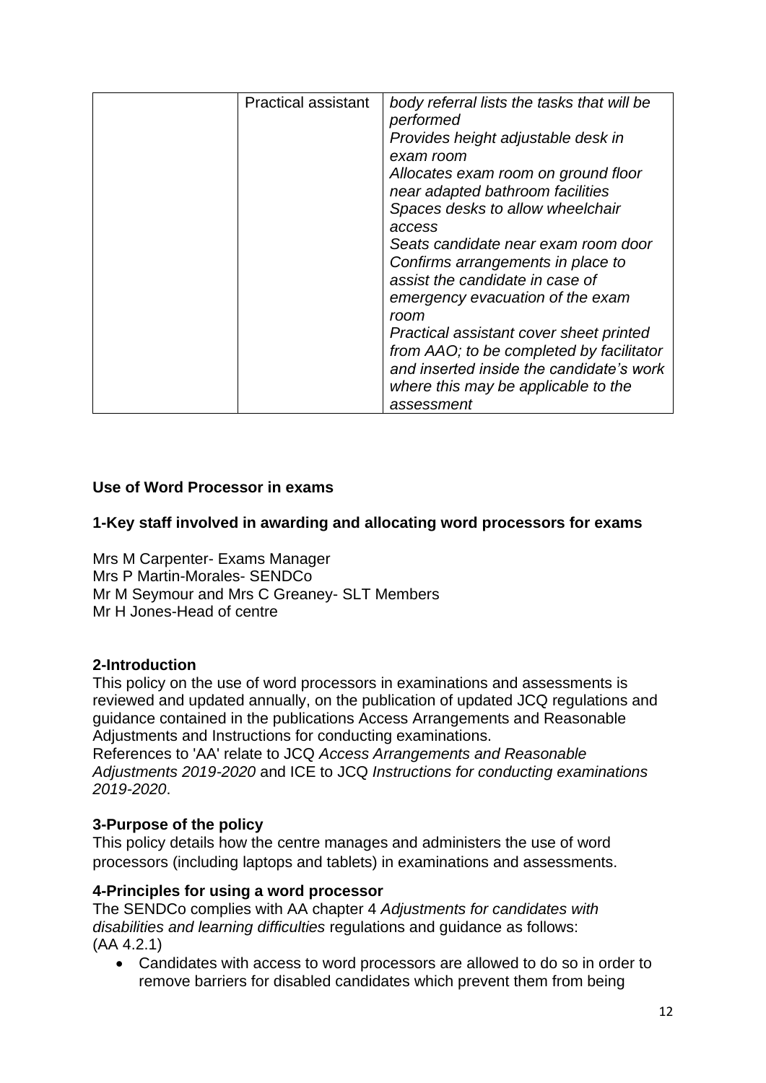| <b>Practical assistant</b> | body referral lists the tasks that will be<br>performed<br>Provides height adjustable desk in<br>exam room<br>Allocates exam room on ground floor<br>near adapted bathroom facilities<br>Spaces desks to allow wheelchair<br>access<br>Seats candidate near exam room door<br>Confirms arrangements in place to<br>assist the candidate in case of<br>emergency evacuation of the exam<br>room<br>Practical assistant cover sheet printed<br>from AAO; to be completed by facilitator<br>and inserted inside the candidate's work<br>where this may be applicable to the<br>assessment |
|----------------------------|----------------------------------------------------------------------------------------------------------------------------------------------------------------------------------------------------------------------------------------------------------------------------------------------------------------------------------------------------------------------------------------------------------------------------------------------------------------------------------------------------------------------------------------------------------------------------------------|
|----------------------------|----------------------------------------------------------------------------------------------------------------------------------------------------------------------------------------------------------------------------------------------------------------------------------------------------------------------------------------------------------------------------------------------------------------------------------------------------------------------------------------------------------------------------------------------------------------------------------------|

#### **Use of Word Processor in exams**

#### **1-Key staff involved in awarding and allocating word processors for exams**

Mrs M Carpenter- Exams Manager Mrs P Martin-Morales- SENDCo Mr M Seymour and Mrs C Greaney- SLT Members Mr H Jones-Head of centre

#### **2-Introduction**

This policy on the use of word processors in examinations and assessments is reviewed and updated annually, on the publication of updated JCQ regulations and guidance contained in the publications Access Arrangements and Reasonable Adjustments and Instructions for conducting examinations.

References to 'AA' relate to JCQ *Access Arrangements and Reasonable Adjustments 2019-2020* and ICE to JCQ *Instructions for conducting examinations 2019-2020*.

#### **3-Purpose of the policy**

This policy details how the centre manages and administers the use of word processors (including laptops and tablets) in examinations and assessments.

#### **4-Principles for using a word processor**

The SENDCo complies with AA chapter 4 *Adjustments for candidates with disabilities and learning difficulties* regulations and guidance as follows: (AA 4.2.1)

• Candidates with access to word processors are allowed to do so in order to remove barriers for disabled candidates which prevent them from being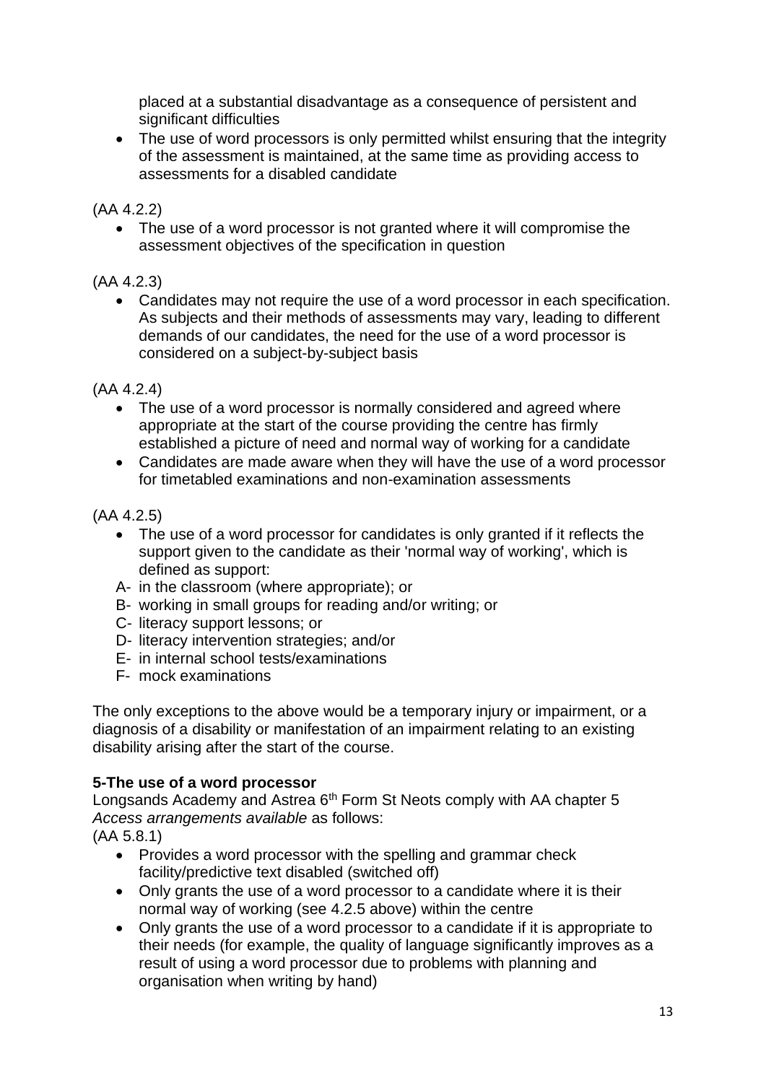placed at a substantial disadvantage as a consequence of persistent and significant difficulties

• The use of word processors is only permitted whilst ensuring that the integrity of the assessment is maintained, at the same time as providing access to assessments for a disabled candidate

(AA 4.2.2)

• The use of a word processor is not granted where it will compromise the assessment objectives of the specification in question

# (AA 4.2.3)

• Candidates may not require the use of a word processor in each specification. As subjects and their methods of assessments may vary, leading to different demands of our candidates, the need for the use of a word processor is considered on a subject-by-subject basis

(AA 4.2.4)

- The use of a word processor is normally considered and agreed where appropriate at the start of the course providing the centre has firmly established a picture of need and normal way of working for a candidate
- Candidates are made aware when they will have the use of a word processor for timetabled examinations and non-examination assessments

# (AA 4.2.5)

- The use of a word processor for candidates is only granted if it reflects the support given to the candidate as their 'normal way of working', which is defined as support:
- A- in the classroom (where appropriate); or
- B- working in small groups for reading and/or writing; or
- C- literacy support lessons; or
- D- literacy intervention strategies; and/or
- E- in internal school tests/examinations
- F- mock examinations

The only exceptions to the above would be a temporary injury or impairment, or a diagnosis of a disability or manifestation of an impairment relating to an existing disability arising after the start of the course.

# **5-The use of a word processor**

Longsands Academy and Astrea 6<sup>th</sup> Form St Neots comply with AA chapter 5 *Access arrangements available* as follows:

(AA 5.8.1)

- Provides a word processor with the spelling and grammar check facility/predictive text disabled (switched off)
- Only grants the use of a word processor to a candidate where it is their normal way of working (see 4.2.5 above) within the centre
- Only grants the use of a word processor to a candidate if it is appropriate to their needs (for example, the quality of language significantly improves as a result of using a word processor due to problems with planning and organisation when writing by hand)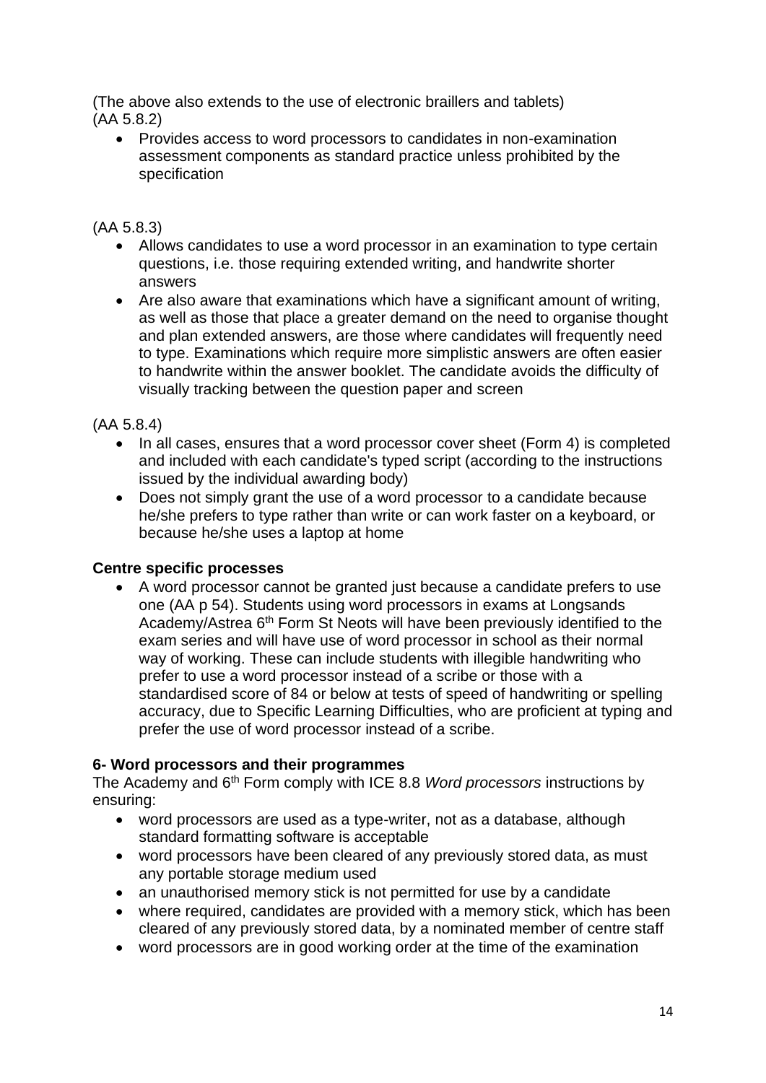(The above also extends to the use of electronic braillers and tablets) (AA 5.8.2)

• Provides access to word processors to candidates in non-examination assessment components as standard practice unless prohibited by the specification

## (AA 5.8.3)

- Allows candidates to use a word processor in an examination to type certain questions, i.e. those requiring extended writing, and handwrite shorter answers
- Are also aware that examinations which have a significant amount of writing, as well as those that place a greater demand on the need to organise thought and plan extended answers, are those where candidates will frequently need to type. Examinations which require more simplistic answers are often easier to handwrite within the answer booklet. The candidate avoids the difficulty of visually tracking between the question paper and screen

## (AA 5.8.4)

- In all cases, ensures that a word processor cover sheet (Form 4) is completed and included with each candidate's typed script (according to the instructions issued by the individual awarding body)
- Does not simply grant the use of a word processor to a candidate because he/she prefers to type rather than write or can work faster on a keyboard, or because he/she uses a laptop at home

### **Centre specific processes**

• A word processor cannot be granted just because a candidate prefers to use one (AA p 54). Students using word processors in exams at Longsands Academy/Astrea 6<sup>th</sup> Form St Neots will have been previously identified to the exam series and will have use of word processor in school as their normal way of working. These can include students with illegible handwriting who prefer to use a word processor instead of a scribe or those with a standardised score of 84 or below at tests of speed of handwriting or spelling accuracy, due to Specific Learning Difficulties, who are proficient at typing and prefer the use of word processor instead of a scribe.

# **6- Word processors and their programmes**

The Academy and 6th Form comply with ICE 8.8 *Word processors* instructions by ensuring:

- word processors are used as a type-writer, not as a database, although standard formatting software is acceptable
- word processors have been cleared of any previously stored data, as must any portable storage medium used
- an unauthorised memory stick is not permitted for use by a candidate
- where required, candidates are provided with a memory stick, which has been cleared of any previously stored data, by a nominated member of centre staff
- word processors are in good working order at the time of the examination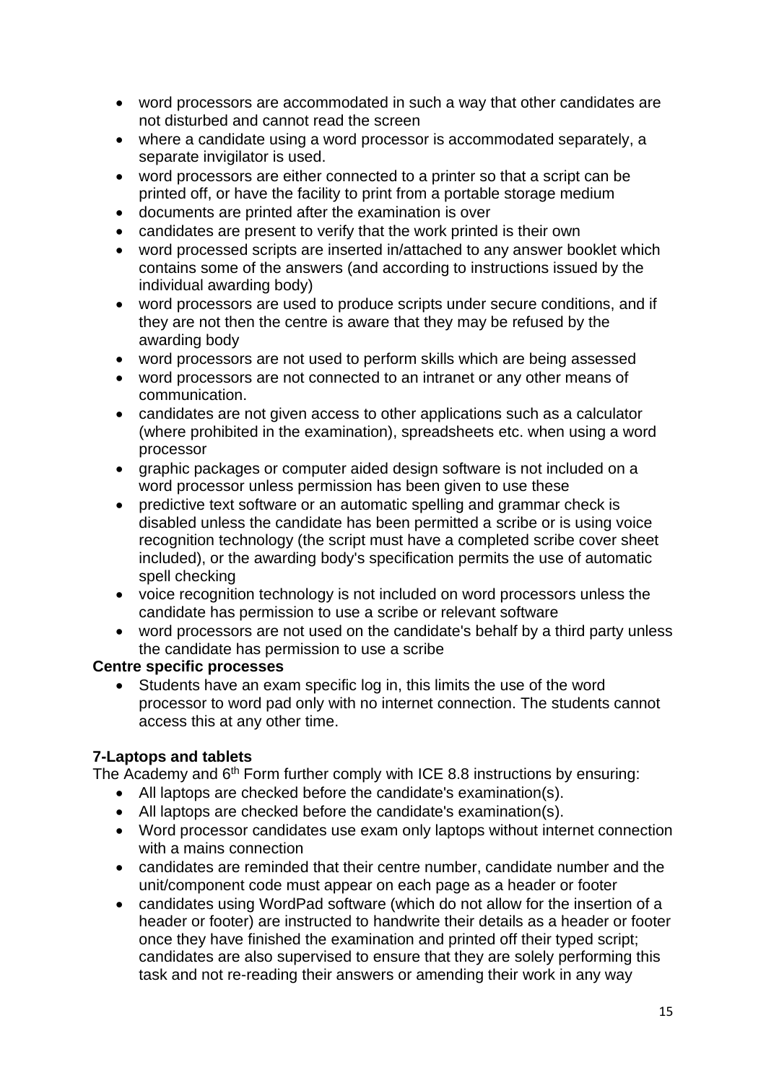- word processors are accommodated in such a way that other candidates are not disturbed and cannot read the screen
- where a candidate using a word processor is accommodated separately, a separate invigilator is used.
- word processors are either connected to a printer so that a script can be printed off, or have the facility to print from a portable storage medium
- documents are printed after the examination is over
- candidates are present to verify that the work printed is their own
- word processed scripts are inserted in/attached to any answer booklet which contains some of the answers (and according to instructions issued by the individual awarding body)
- word processors are used to produce scripts under secure conditions, and if they are not then the centre is aware that they may be refused by the awarding body
- word processors are not used to perform skills which are being assessed
- word processors are not connected to an intranet or any other means of communication.
- candidates are not given access to other applications such as a calculator (where prohibited in the examination), spreadsheets etc. when using a word processor
- graphic packages or computer aided design software is not included on a word processor unless permission has been given to use these
- predictive text software or an automatic spelling and grammar check is disabled unless the candidate has been permitted a scribe or is using voice recognition technology (the script must have a completed scribe cover sheet included), or the awarding body's specification permits the use of automatic spell checking
- voice recognition technology is not included on word processors unless the candidate has permission to use a scribe or relevant software
- word processors are not used on the candidate's behalf by a third party unless the candidate has permission to use a scribe

#### **Centre specific processes**

• Students have an exam specific log in, this limits the use of the word processor to word pad only with no internet connection. The students cannot access this at any other time.

### **7-Laptops and tablets**

The Academy and  $6<sup>th</sup>$  Form further comply with ICE 8.8 instructions by ensuring:

- All laptops are checked before the candidate's examination(s).
- All laptops are checked before the candidate's examination(s).
- Word processor candidates use exam only laptops without internet connection with a mains connection
- candidates are reminded that their centre number, candidate number and the unit/component code must appear on each page as a header or footer
- candidates using WordPad software (which do not allow for the insertion of a header or footer) are instructed to handwrite their details as a header or footer once they have finished the examination and printed off their typed script; candidates are also supervised to ensure that they are solely performing this task and not re-reading their answers or amending their work in any way